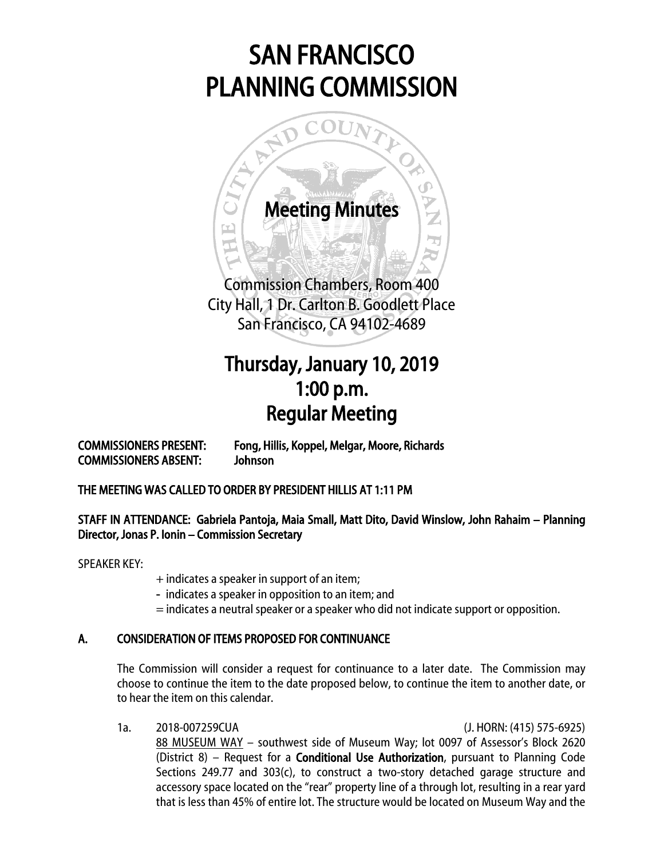# SAN FRANCISCO PLANNING COMMISSION



## Thursday, January 10, 2019 1:00 p.m. Regular Meeting

COMMISSIONERS PRESENT: Fong, Hillis, Koppel, Melgar, Moore, Richards COMMISSIONERS ABSENT: Johnson

### THE MEETING WAS CALLED TO ORDER BY PRESIDENT HILLIS AT 1:11 PM

### STAFF IN ATTENDANCE: Gabriela Pantoja, Maia Small, Matt Dito, David Winslow, John Rahaim – Planning Director, Jonas P. Ionin – Commission Secretary

SPEAKER KEY:

+ indicates a speaker in support of an item;

- indicates a speaker in opposition to an item; and
- = indicates a neutral speaker or a speaker who did not indicate support or opposition.

### A. CONSIDERATION OF ITEMS PROPOSED FOR CONTINUANCE

The Commission will consider a request for continuance to a later date. The Commission may choose to continue the item to the date proposed below, to continue the item to another date, or to hear the item on this calendar.

1a. 2018-007259CUA (J. HORN: (415) 575-6925)

88 MUSEUM WAY – southwest side of Museum Way; lot 0097 of Assessor's Block 2620 (District 8) – Request for a Conditional Use Authorization, pursuant to Planning Code Sections 249.77 and  $303(c)$ , to construct a two-story detached garage structure and accessory space located on the "rear" property line of a through lot, resulting in a rear yard that is less than 45% of entire lot. The structure would be located on Museum Way and the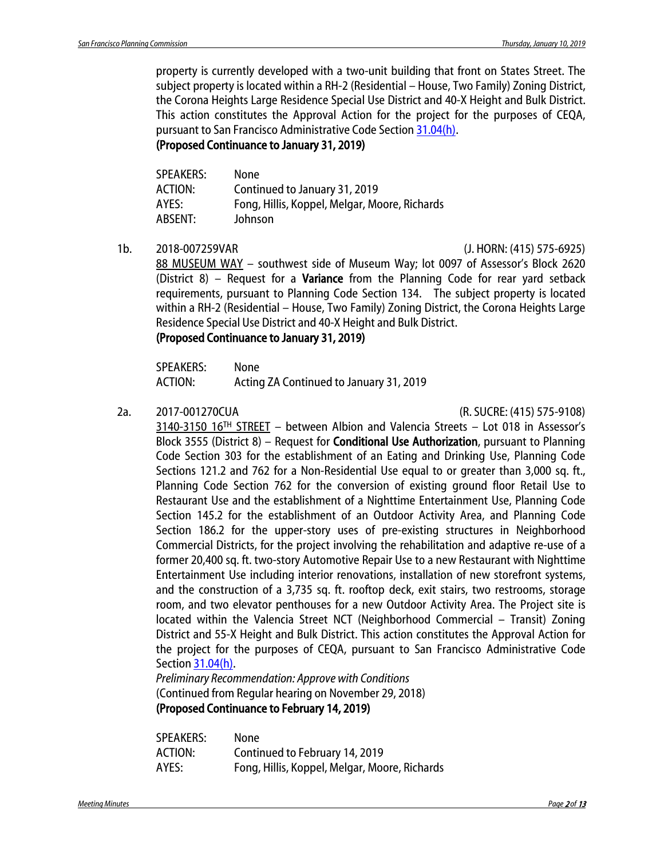property is currently developed with a two-unit building that front on States Street. The subject property is located within a RH-2 (Residential – House, Two Family) Zoning District, the Corona Heights Large Residence Special Use District and 40-X Height and Bulk District. This action constitutes the Approval Action for the project for the purposes of CEQA, pursuant to San Francisco Administrative Code Section [31.04\(h\).](http://library.amlegal.com/nxt/gateway.dll/California/administrative/chapter31californiaenvironmentalqualitya?f=templates$fn=default.htm$3.0$vid=amlegal:sanfrancisco_ca$anc=JD_31.04)

(Proposed Continuance to January 31, 2019)

| <b>SPEAKERS:</b> | None                                          |
|------------------|-----------------------------------------------|
| <b>ACTION:</b>   | Continued to January 31, 2019                 |
| AYES:            | Fong, Hillis, Koppel, Melgar, Moore, Richards |
| ABSENT:          | Johnson                                       |
|                  |                                               |

1b. 2018-007259VAR (J. HORN: (415) 575-6925)

88 MUSEUM WAY – southwest side of Museum Way; lot 0097 of Assessor's Block 2620 (District 8) – Request for a **Variance** from the Planning Code for rear yard setback requirements, pursuant to Planning Code Section 134. The subject property is located within a RH-2 (Residential – House, Two Family) Zoning District, the Corona Heights Large Residence Special Use District and 40-X Height and Bulk District.

#### (Proposed Continuance to January 31, 2019)

SPEAKERS: None ACTION: Acting ZA Continued to January 31, 2019

2a. 2017-001270CUA (R. SUCRE: (415) 575-9108)

3140-3150 16TH STREET – between Albion and Valencia Streets – Lot 018 in Assessor's Block 3555 (District 8) – Request for Conditional Use Authorization, pursuant to Planning Code Section 303 for the establishment of an Eating and Drinking Use, Planning Code Sections 121.2 and 762 for a Non-Residential Use equal to or greater than 3,000 sq. ft., Planning Code Section 762 for the conversion of existing ground floor Retail Use to Restaurant Use and the establishment of a Nighttime Entertainment Use, Planning Code Section 145.2 for the establishment of an Outdoor Activity Area, and Planning Code Section 186.2 for the upper-story uses of pre-existing structures in Neighborhood Commercial Districts, for the project involving the rehabilitation and adaptive re-use of a former 20,400 sq. ft. two-story Automotive Repair Use to a new Restaurant with Nighttime Entertainment Use including interior renovations, installation of new storefront systems, and the construction of a 3,735 sq. ft. rooftop deck, exit stairs, two restrooms, storage room, and two elevator penthouses for a new Outdoor Activity Area. The Project site is located within the Valencia Street NCT (Neighborhood Commercial – Transit) Zoning District and 55-X Height and Bulk District. This action constitutes the Approval Action for the project for the purposes of CEQA, pursuant to San Francisco Administrative Code Sectio[n 31.04\(h\).](http://library.amlegal.com/nxt/gateway.dll/California/administrative/chapter31californiaenvironmentalqualitya?f=templates$fn=default.htm$3.0$vid=amlegal:sanfrancisco_ca$anc=JD_31.04)

*Preliminary Recommendation: Approve with Conditions* (Continued from Regular hearing on November 29, 2018) (Proposed Continuance to February 14, 2019)

| <b>SPEAKERS:</b> | None                                          |
|------------------|-----------------------------------------------|
| ACTION:          | Continued to February 14, 2019                |
| AYES:            | Fong, Hillis, Koppel, Melgar, Moore, Richards |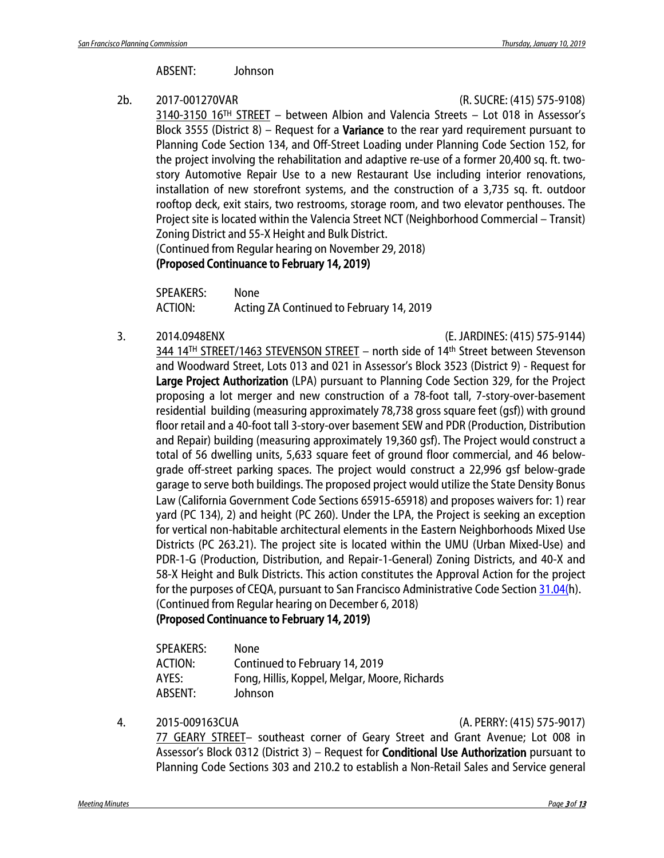ABSENT: Johnson

2b. 2017-001270VAR (R. SUCRE: (415) 575-9108)

3140-3150 16TH STREET – between Albion and Valencia Streets – Lot 018 in Assessor's Block 3555 (District 8) – Request for a Variance to the rear yard requirement pursuant to Planning Code Section 134, and Off-Street Loading under Planning Code Section 152, for the project involving the rehabilitation and adaptive re-use of a former 20,400 sq. ft. twostory Automotive Repair Use to a new Restaurant Use including interior renovations, installation of new storefront systems, and the construction of a 3,735 sq. ft. outdoor rooftop deck, exit stairs, two restrooms, storage room, and two elevator penthouses. The Project site is located within the Valencia Street NCT (Neighborhood Commercial – Transit) Zoning District and 55-X Height and Bulk District.

(Continued from Regular hearing on November 29, 2018)

#### (Proposed Continuance to February 14, 2019)

SPEAKERS: None ACTION: Acting ZA Continued to February 14, 2019

3. 2014.0948ENX (E. JARDINES: (415) 575-9144)

344 14TH STREET/1463 STEVENSON STREET – north side of 14th Street between Stevenson and Woodward Street, Lots 013 and 021 in Assessor's Block 3523 (District 9) - Request for Large Project Authorization (LPA) pursuant to Planning Code Section 329, for the Project proposing a lot merger and new construction of a 78-foot tall, 7-story-over-basement residential building (measuring approximately 78,738 gross square feet (gsf)) with ground floor retail and a 40-foot tall 3-story-over basement SEW and PDR (Production, Distribution and Repair) building (measuring approximately 19,360 gsf). The Project would construct a total of 56 dwelling units, 5,633 square feet of ground floor commercial, and 46 belowgrade off-street parking spaces. The project would construct a 22,996 gsf below-grade garage to serve both buildings. The proposed project would utilize the State Density Bonus Law (California Government Code Sections 65915‐65918) and proposes waivers for: 1) rear yard (PC 134), 2) and height (PC 260). Under the LPA, the Project is seeking an exception for vertical non-habitable architectural elements in the Eastern Neighborhoods Mixed Use Districts (PC 263.21). The project site is located within the UMU (Urban Mixed-Use) and PDR-1-G (Production, Distribution, and Repair-1-General) Zoning Districts, and 40-X and 58-X Height and Bulk Districts. This action constitutes the Approval Action for the project for the purposes of CEQA, pursuant to San Francisco Administrative Code Sectio[n 31.04\(h](http://library.amlegal.com/nxt/gateway.dll/California/administrative/chapter31californiaenvironmentalqualitya?f=templates$fn=default.htm$3.0$vid=amlegal:sanfrancisco_ca$anc=JD_31.04)). (Continued from Regular hearing on December 6, 2018)

### (Proposed Continuance to February 14, 2019)

| <b>SPEAKERS:</b> | None                                          |
|------------------|-----------------------------------------------|
| ACTION:          | Continued to February 14, 2019                |
| AYES:            | Fong, Hillis, Koppel, Melgar, Moore, Richards |
| ABSENT:          | Johnson                                       |

4. 2015-009163CUA (A. PERRY: (415) 575-9017)

77 GEARY STREET– southeast corner of Geary Street and Grant Avenue; Lot 008 in Assessor's Block 0312 (District 3) – Request for Conditional Use Authorization pursuant to Planning Code Sections 303 and 210.2 to establish a Non-Retail Sales and Service general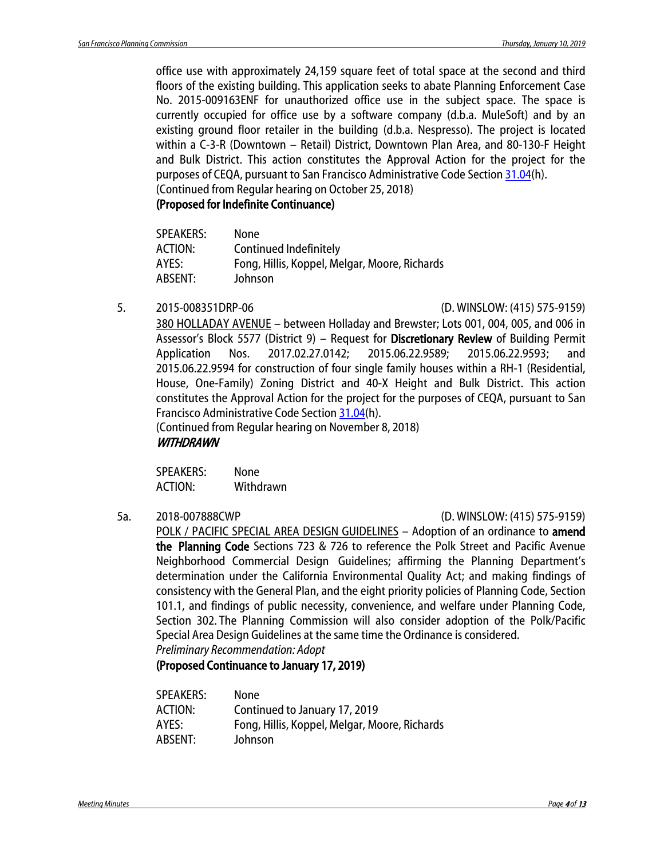office use with approximately 24,159 square feet of total space at the second and third floors of the existing building. This application seeks to abate Planning Enforcement Case No. 2015-009163ENF for unauthorized office use in the subject space. The space is currently occupied for office use by a software company (d.b.a. MuleSoft) and by an existing ground floor retailer in the building (d.b.a. Nespresso). The project is located within a C-3-R (Downtown – Retail) District, Downtown Plan Area, and 80-130-F Height and Bulk District. This action constitutes the Approval Action for the project for the purposes of CEQA, pursuant to San Francisco Administrative Code Section [31.04\(](http://library.amlegal.com/nxt/gateway.dll/California/administrative/chapter31californiaenvironmentalqualitya?f=templates$fn=default.htm$3.0$vid=amlegal:sanfrancisco_ca$anc=JD_31.04)h). (Continued from Regular hearing on October 25, 2018)

#### (Proposed for Indefinite Continuance)

| <b>SPEAKERS:</b> | None                                          |
|------------------|-----------------------------------------------|
| ACTION:          | Continued Indefinitely                        |
| AYES:            | Fong, Hillis, Koppel, Melgar, Moore, Richards |
| ABSENT:          | Johnson                                       |

#### 5. 2015-008351DRP-06 (D. WINSLOW: (415) 575-9159)

380 HOLLADAY AVENUE – between Holladay and Brewster; Lots 001, 004, 005, and 006 in Assessor's Block 5577 (District 9) - Request for Discretionary Review of Building Permit Application Nos. 2017.02.27.0142; 2015.06.22.9589; 2015.06.22.9593; and 2015.06.22.9594 for construction of four single family houses within a RH-1 (Residential, House, One-Family) Zoning District and 40-X Height and Bulk District. This action constitutes the Approval Action for the project for the purposes of CEQA, pursuant to San Francisco Administrative Code Section [31.04\(](http://library.amlegal.com/nxt/gateway.dll/California/administrative/chapter31californiaenvironmentalqualitya?f=templates$fn=default.htm$3.0$vid=amlegal:sanfrancisco_ca$anc=JD_31.04)h).

(Continued from Regular hearing on November 8, 2018) WITHDRAWN

SPEAKERS: None ACTION: Withdrawn

#### 5a. 2018-007888CWP (D. WINSLOW: (415) 575-9159)

POLK / PACIFIC SPECIAL AREA DESIGN GUIDELINES - Adoption of an ordinance to amend the Planning Code Sections 723 & 726 to reference the Polk Street and Pacific Avenue Neighborhood Commercial Design Guidelines; affirming the Planning Department's determination under the California Environmental Quality Act; and making findings of consistency with the General Plan, and the eight priority policies of Planning Code, Section 101.1, and findings of public necessity, convenience, and welfare under Planning Code, Section 302. The Planning Commission will also consider adoption of the Polk/Pacific Special Area Design Guidelines at the same time the Ordinance is considered. *Preliminary Recommendation: Adopt*

(Proposed Continuance to January 17, 2019)

| SPEAKERS:      | None                                          |
|----------------|-----------------------------------------------|
| <b>ACTION:</b> | Continued to January 17, 2019                 |
| AYES:          | Fong, Hillis, Koppel, Melgar, Moore, Richards |
| ABSENT:        | Johnson                                       |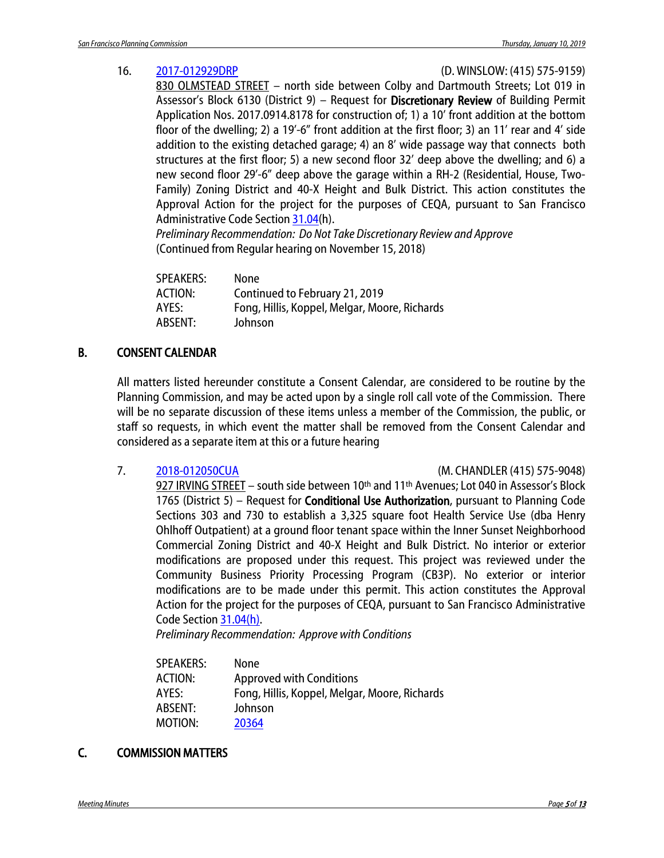16. [2017-012929DRP](http://commissions.sfplanning.org/cpcpackets/2017-012929DRP.pdf) (D. WINSLOW: (415) 575-9159)

830 OLMSTEAD STREET – north side between Colby and Dartmouth Streets; Lot 019 in Assessor's Block 6130 (District 9) - Request for Discretionary Review of Building Permit Application Nos. 2017.0914.8178 for construction of; 1) a 10' front addition at the bottom floor of the dwelling; 2) a 19'-6" front addition at the first floor; 3) an 11' rear and 4' side addition to the existing detached garage; 4) an 8' wide passage way that connects both structures at the first floor; 5) a new second floor 32' deep above the dwelling; and 6) a new second floor 29'-6" deep above the garage within a RH-2 (Residential, House, Two-Family) Zoning District and 40-X Height and Bulk District. This action constitutes the Approval Action for the project for the purposes of CEQA, pursuant to San Francisco Administrative Code Section [31.04\(](http://library.amlegal.com/nxt/gateway.dll/California/administrative/chapter31californiaenvironmentalqualitya?f=templates$fn=default.htm$3.0$vid=amlegal:sanfrancisco_ca$anc=JD_31.04)h).

*Preliminary Recommendation: Do Not Take Discretionary Review and Approve* (Continued from Regular hearing on November 15, 2018)

| SPEAKERS:      | None                                          |
|----------------|-----------------------------------------------|
| <b>ACTION:</b> | Continued to February 21, 2019                |
| AYES:          | Fong, Hillis, Koppel, Melgar, Moore, Richards |
| ABSENT:        | Johnson                                       |
|                |                                               |

### B. CONSENT CALENDAR

All matters listed hereunder constitute a Consent Calendar, are considered to be routine by the Planning Commission, and may be acted upon by a single roll call vote of the Commission. There will be no separate discussion of these items unless a member of the Commission, the public, or staff so requests, in which event the matter shall be removed from the Consent Calendar and considered as a separate item at this or a future hearing

7. [2018-012050CUA](http://commissions.sfplanning.org/cpcpackets/2018-012050CUA.pdf) (M. CHANDLER (415) 575-9048)

927 IRVING STREET – south side between 10<sup>th</sup> and 11<sup>th</sup> Avenues; Lot 040 in Assessor's Block 1765 (District 5) – Request for **Conditional Use Authorization**, pursuant to Planning Code Sections 303 and 730 to establish a 3,325 square foot Health Service Use (dba Henry Ohlhoff Outpatient) at a ground floor tenant space within the Inner Sunset Neighborhood Commercial Zoning District and 40-X Height and Bulk District. No interior or exterior modifications are proposed under this request. This project was reviewed under the Community Business Priority Processing Program (CB3P). No exterior or interior modifications are to be made under this permit. This action constitutes the Approval Action for the project for the purposes of CEQA, pursuant to San Francisco Administrative Code Sectio[n 31.04\(h\).](http://library.amlegal.com/nxt/gateway.dll/California/administrative/chapter31californiaenvironmentalqualitya?f=templates$fn=default.htm$3.0$vid=amlegal:sanfrancisco_ca$anc=JD_31.04)

*Preliminary Recommendation: Approve with Conditions*

| <b>None</b>                                   |
|-----------------------------------------------|
| <b>Approved with Conditions</b>               |
| Fong, Hillis, Koppel, Melgar, Moore, Richards |
| Johnson                                       |
| 20364                                         |
|                                               |

### C. COMMISSION MATTERS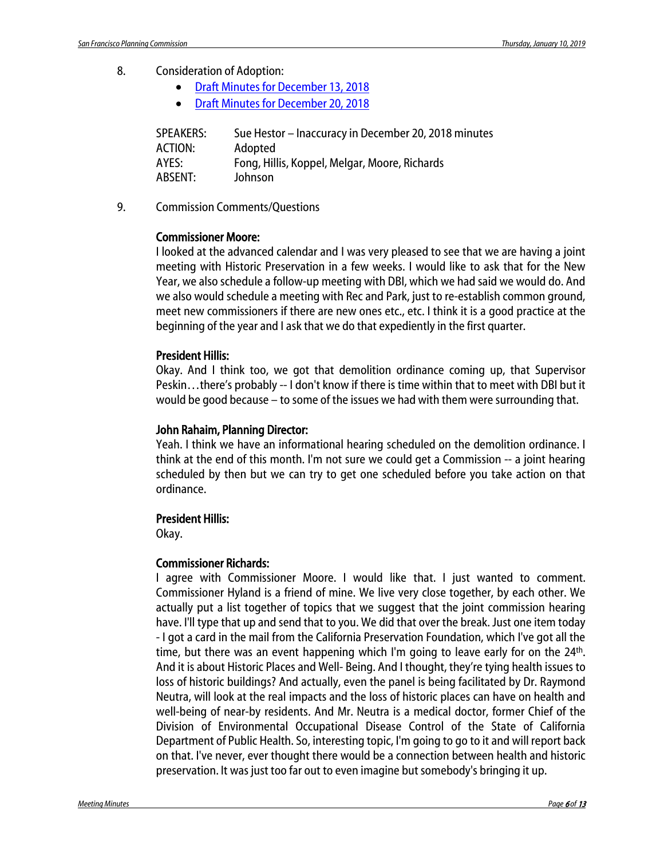- 8. Consideration of Adoption:
	- [Draft Minutes for December 13, 2018](http://commissions.sfplanning.org/cpcpackets/20181213_cal_min.pdf)
	- [Draft Minutes for December 20, 2018](http://commissions.sfplanning.org/cpcpackets/20181220_cal_min.pdf)

| <b>SPEAKERS:</b> | Sue Hestor - Inaccuracy in December 20, 2018 minutes |
|------------------|------------------------------------------------------|
| ACTION:          | Adopted                                              |
| AYES:            | Fong, Hillis, Koppel, Melgar, Moore, Richards        |
| ABSENT:          | Johnson                                              |

9. Commission Comments/Questions

#### Commissioner Moore:

I looked at the advanced calendar and I was very pleased to see that we are having a joint meeting with Historic Preservation in a few weeks. I would like to ask that for the New Year, we also schedule a follow-up meeting with DBI, which we had said we would do. And we also would schedule a meeting with Rec and Park, just to re-establish common ground, meet new commissioners if there are new ones etc., etc. I think it is a good practice at the beginning of the year and I ask that we do that expediently in the first quarter.

#### President Hillis:

Okay. And I think too, we got that demolition ordinance coming up, that Supervisor Peskin…there's probably -- I don't know if there is time within that to meet with DBI but it would be good because – to some of the issues we had with them were surrounding that.

#### John Rahaim, Planning Director:

Yeah. I think we have an informational hearing scheduled on the demolition ordinance. I think at the end of this month. I'm not sure we could get a Commission -- a joint hearing scheduled by then but we can try to get one scheduled before you take action on that ordinance.

#### President Hillis:

Okay.

#### Commissioner Richards:

I agree with Commissioner Moore. I would like that. I just wanted to comment. Commissioner Hyland is a friend of mine. We live very close together, by each other. We actually put a list together of topics that we suggest that the joint commission hearing have. I'll type that up and send that to you. We did that over the break. Just one item today - I got a card in the mail from the California Preservation Foundation, which I've got all the time, but there was an event happening which I'm going to leave early for on the 24th. And it is about Historic Places and Well- Being. And I thought, they're tying health issues to loss of historic buildings? And actually, even the panel is being facilitated by Dr. Raymond Neutra, will look at the real impacts and the loss of historic places can have on health and well-being of near-by residents. And Mr. Neutra is a medical doctor, former Chief of the Division of Environmental Occupational Disease Control of the State of California Department of Public Health. So, interesting topic, I'm going to go to it and will report back on that. I've never, ever thought there would be a connection between health and historic preservation. It was just too far out to even imagine but somebody's bringing it up.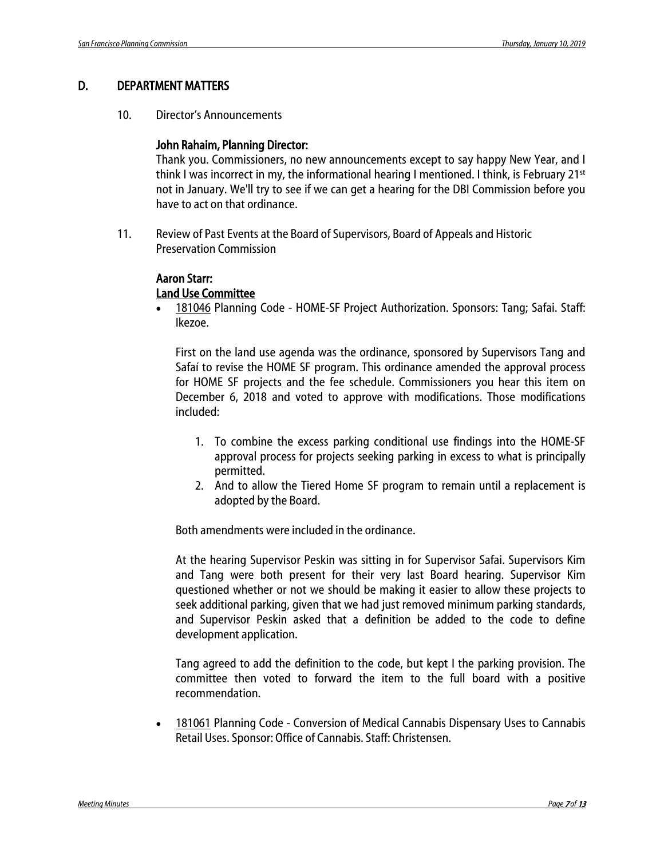#### D. DEPARTMENT MATTERS

10. Director's Announcements

#### John Rahaim, Planning Director:

Thank you. Commissioners, no new announcements except to say happy New Year, and I think I was incorrect in my, the informational hearing I mentioned. I think, is February 21st not in January. We'll try to see if we can get a hearing for the DBI Commission before you have to act on that ordinance.

11. Review of Past Events at the Board of Supervisors, Board of Appeals and Historic Preservation Commission

### Aaron Starr:

#### Land Use Committee

• [181046](https://sfgov.legistar.com/LegislationDetail.aspx?ID=3717254&GUID=1B5708D0-791A-451B-867B-3362A4C19021) Planning Code - HOME-SF Project Authorization. Sponsors: Tang; Safai. Staff: Ikezoe.

First on the land use agenda was the ordinance, sponsored by Supervisors Tang and Safaí to revise the HOME SF program. This ordinance amended the approval process for HOME SF projects and the fee schedule. Commissioners you hear this item on December 6, 2018 and voted to approve with modifications. Those modifications included:

- 1. To combine the excess parking conditional use findings into the HOME-SF approval process for projects seeking parking in excess to what is principally permitted.
- 2. And to allow the Tiered Home SF program to remain until a replacement is adopted by the Board.

Both amendments were included in the ordinance.

At the hearing Supervisor Peskin was sitting in for Supervisor Safai. Supervisors Kim and Tang were both present for their very last Board hearing. Supervisor Kim questioned whether or not we should be making it easier to allow these projects to seek additional parking, given that we had just removed minimum parking standards, and Supervisor Peskin asked that a definition be added to the code to define development application.

Tang agreed to add the definition to the code, but kept I the parking provision. The committee then voted to forward the item to the full board with a positive recommendation.

• [181061](https://sfgov.legistar.com/LegislationDetail.aspx?ID=3720243&GUID=961D34FA-D381-40B2-95B6-95299F7E7344) Planning Code - Conversion of Medical Cannabis Dispensary Uses to Cannabis Retail Uses. Sponsor: Office of Cannabis. Staff: Christensen.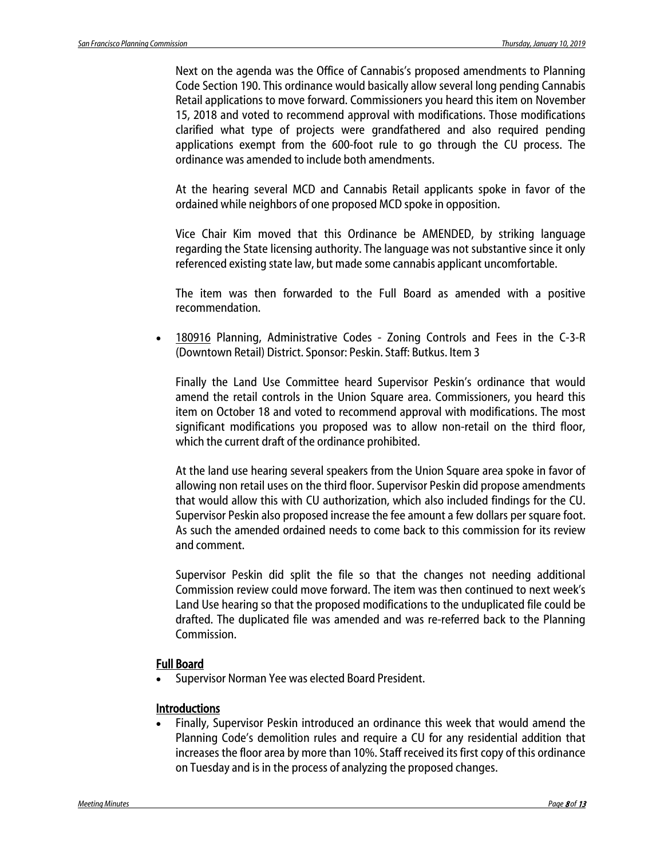Next on the agenda was the Office of Cannabis's proposed amendments to Planning Code Section 190. This ordinance would basically allow several long pending Cannabis Retail applications to move forward. Commissioners you heard this item on November 15, 2018 and voted to recommend approval with modifications. Those modifications clarified what type of projects were grandfathered and also required pending applications exempt from the 600-foot rule to go through the CU process. The ordinance was amended to include both amendments.

At the hearing several MCD and Cannabis Retail applicants spoke in favor of the ordained while neighbors of one proposed MCD spoke in opposition.

Vice Chair Kim moved that this Ordinance be AMENDED, by striking language regarding the State licensing authority. The language was not substantive since it only referenced existing state law, but made some cannabis applicant uncomfortable.

The item was then forwarded to the Full Board as amended with a positive recommendation.

• [180916](https://sfgov.legistar.com/LegislationDetail.aspx?ID=3681419&GUID=5884D98A-5619-4151-8653-C801266E8B33) Planning, Administrative Codes - Zoning Controls and Fees in the C-3-R (Downtown Retail) District. Sponsor: Peskin. Staff: Butkus. Item 3

Finally the Land Use Committee heard Supervisor Peskin's ordinance that would amend the retail controls in the Union Square area. Commissioners, you heard this item on October 18 and voted to recommend approval with modifications. The most significant modifications you proposed was to allow non-retail on the third floor, which the current draft of the ordinance prohibited.

At the land use hearing several speakers from the Union Square area spoke in favor of allowing non retail uses on the third floor. Supervisor Peskin did propose amendments that would allow this with CU authorization, which also included findings for the CU. Supervisor Peskin also proposed increase the fee amount a few dollars per square foot. As such the amended ordained needs to come back to this commission for its review and comment.

Supervisor Peskin did split the file so that the changes not needing additional Commission review could move forward. The item was then continued to next week's Land Use hearing so that the proposed modifications to the unduplicated file could be drafted. The duplicated file was amended and was re-referred back to the Planning Commission.

#### Full Board

• Supervisor Norman Yee was elected Board President.

#### **Introductions**

• Finally, Supervisor Peskin introduced an ordinance this week that would amend the Planning Code's demolition rules and require a CU for any residential addition that increases the floor area by more than 10%. Staff received its first copy of this ordinance on Tuesday and is in the process of analyzing the proposed changes.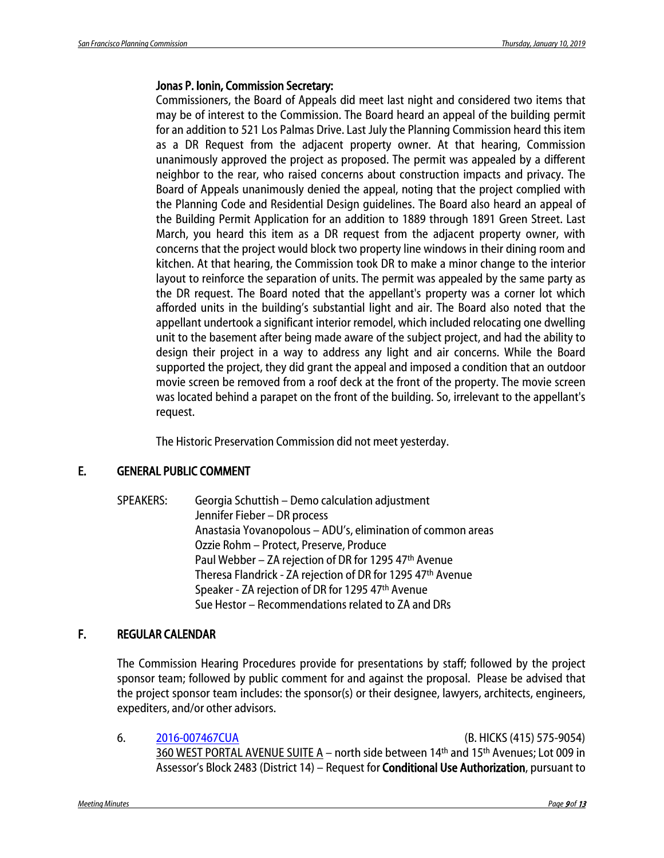#### Jonas P. Ionin, Commission Secretary:

Commissioners, the Board of Appeals did meet last night and considered two items that may be of interest to the Commission. The Board heard an appeal of the building permit for an addition to 521 Los Palmas Drive. Last July the Planning Commission heard this item as a DR Request from the adjacent property owner. At that hearing, Commission unanimously approved the project as proposed. The permit was appealed by a different neighbor to the rear, who raised concerns about construction impacts and privacy. The Board of Appeals unanimously denied the appeal, noting that the project complied with the Planning Code and Residential Design guidelines. The Board also heard an appeal of the Building Permit Application for an addition to 1889 through 1891 Green Street. Last March, you heard this item as a DR request from the adjacent property owner, with concerns that the project would block two property line windows in their dining room and kitchen. At that hearing, the Commission took DR to make a minor change to the interior layout to reinforce the separation of units. The permit was appealed by the same party as the DR request. The Board noted that the appellant's property was a corner lot which afforded units in the building's substantial light and air. The Board also noted that the appellant undertook a significant interior remodel, which included relocating one dwelling unit to the basement after being made aware of the subject project, and had the ability to design their project in a way to address any light and air concerns. While the Board supported the project, they did grant the appeal and imposed a condition that an outdoor movie screen be removed from a roof deck at the front of the property. The movie screen was located behind a parapet on the front of the building. So, irrelevant to the appellant's request.

The Historic Preservation Commission did not meet yesterday.

### E. GENERAL PUBLIC COMMENT

SPEAKERS: Georgia Schuttish – Demo calculation adjustment Jennifer Fieber – DR process Anastasia Yovanopolous – ADU's, elimination of common areas Ozzie Rohm – Protect, Preserve, Produce Paul Webber - ZA rejection of DR for 1295 47th Avenue Theresa Flandrick - ZA rejection of DR for 1295 47th Avenue Speaker - ZA rejection of DR for 1295 47th Avenue Sue Hestor – Recommendations related to ZA and DRs

### F. REGULAR CALENDAR

The Commission Hearing Procedures provide for presentations by staff; followed by the project sponsor team; followed by public comment for and against the proposal. Please be advised that the project sponsor team includes: the sponsor(s) or their designee, lawyers, architects, engineers, expediters, and/or other advisors.

6. [2016-007467CUA](http://commissions.sfplanning.org/cpcpackets/2016-007467CUA.pdf) (B. HICKS (415) 575-9054) 360 WEST PORTAL AVENUE SUITE A – north side between 14th and 15th Avenues; Lot 009 in Assessor's Block 2483 (District 14) - Request for **Conditional Use Authorization**, pursuant to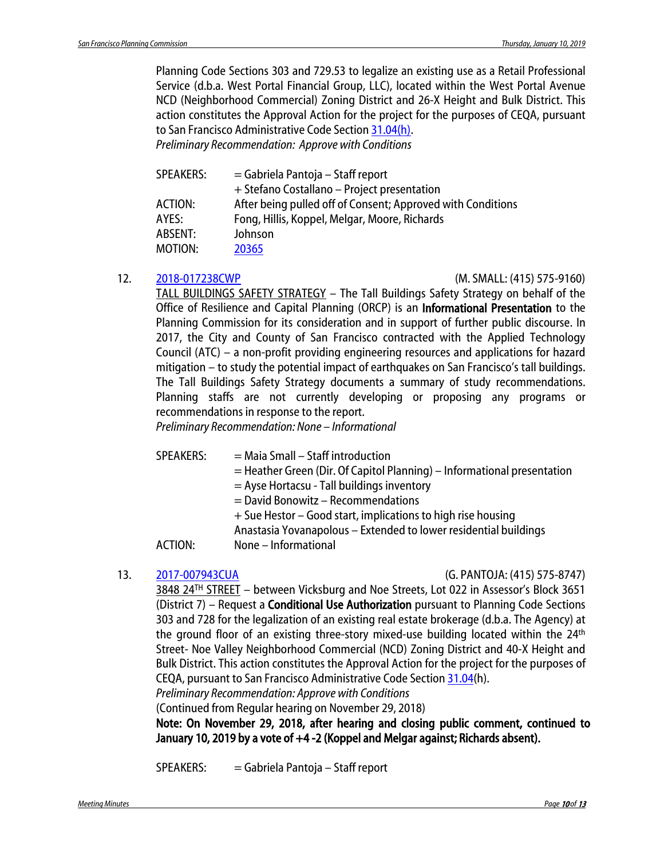Planning Code Sections 303 and 729.53 to legalize an existing use as a Retail Professional Service (d.b.a. West Portal Financial Group, LLC), located within the West Portal Avenue NCD (Neighborhood Commercial) Zoning District and 26-X Height and Bulk District. This action constitutes the Approval Action for the project for the purposes of CEQA, pursuant to San Francisco Administrative Code Sectio[n 31.04\(h\).](http://library.amlegal.com/nxt/gateway.dll/California/administrative/chapter31californiaenvironmentalqualitya?f=templates$fn=default.htm$3.0$vid=amlegal:sanfrancisco_ca$anc=JD_31.04)

*Preliminary Recommendation: Approve with Conditions*

| <b>SPEAKERS:</b> | $=$ Gabriela Pantoja – Staff report                         |
|------------------|-------------------------------------------------------------|
|                  | + Stefano Costallano – Project presentation                 |
| <b>ACTION:</b>   | After being pulled off of Consent; Approved with Conditions |
| AYES:            | Fong, Hillis, Koppel, Melgar, Moore, Richards               |
| ABSENT:          | Johnson                                                     |
| MOTION:          | 20365                                                       |

12. [2018-017238CWP](http://commissions.sfplanning.org/cpcpackets/Tall_Bldgs_011019.pdf) (M. SMALL: (415) 575-9160)

TALL BUILDINGS SAFETY STRATEGY – The Tall Buildings Safety Strategy on behalf of the Office of Resilience and Capital Planning (ORCP) is an Informational Presentation to the Planning Commission for its consideration and in support of further public discourse. In 2017, the City and County of San Francisco contracted with the Applied Technology Council (ATC) – a non-profit providing engineering resources and applications for hazard mitigation – to study the potential impact of earthquakes on San Francisco's tall buildings. The Tall Buildings Safety Strategy documents a summary of study recommendations. Planning staffs are not currently developing or proposing any programs or recommendations in response to the report.

*Preliminary Recommendation: None – Informational* 

 $SPEAKERS: = Maia Small - Staff introduction$ 

= Heather Green (Dir. Of Capitol Planning) – Informational presentation

= Ayse Hortacsu - Tall buildings inventory

= David Bonowitz – Recommendations

+ Sue Hestor – Good start, implications to high rise housing

Anastasia Yovanapolous – Extended to lower residential buildings

ACTION: None – Informational

#### 13. [2017-007943CUA](http://commissions.sfplanning.org/cpcpackets/2017-007943CUAc1.pdf) (G. PANTOJA: (415) 575-8747)

3848 24<sup>TH</sup> STREET - between Vicksburg and Noe Streets, Lot 022 in Assessor's Block 3651 (District 7) – Request a **Conditional Use Authorization** pursuant to Planning Code Sections 303 and 728 for the legalization of an existing real estate brokerage (d.b.a. The Agency) at the ground floor of an existing three-story mixed-use building located within the  $24<sup>th</sup>$ Street- Noe Valley Neighborhood Commercial (NCD) Zoning District and 40-X Height and Bulk District. This action constitutes the Approval Action for the project for the purposes of CEQA, pursuant to San Francisco Administrative Code Sectio[n 31.04\(](http://library.amlegal.com/nxt/gateway.dll/California/administrative/chapter31californiaenvironmentalqualitya?f=templates$fn=default.htm$3.0$vid=amlegal:sanfrancisco_ca$anc=JD_31.04)h).

*Preliminary Recommendation: Approve with Conditions*

(Continued from Regular hearing on November 29, 2018)

Note: On November 29, 2018, after hearing and closing public comment, continued to January 10, 2019 by a vote of +4 -2 (Koppel and Melgar against; Richards absent).

SPEAKERS: = Gabriela Pantoja – Staff report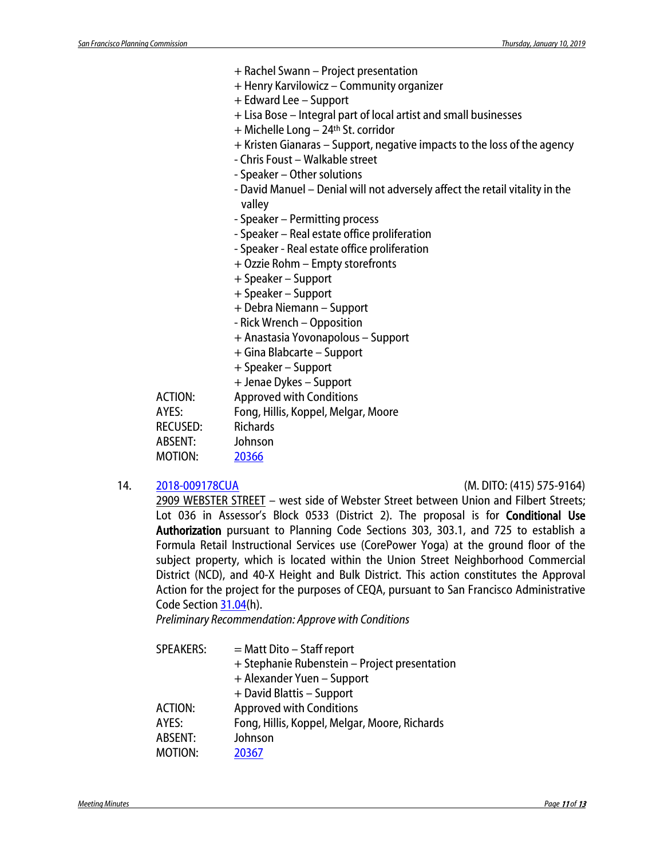- + Rachel Swann Project presentation
- + Henry Karvilowicz Community organizer
- + Edward Lee Support
- + Lisa Bose Integral part of local artist and small businesses
- + Michelle Long 24th St. corridor
- + Kristen Gianaras Support, negative impacts to the loss of the agency
- Chris Foust Walkable street
- Speaker Other solutions
- David Manuel Denial will not adversely affect the retail vitality in the valley
- Speaker Permitting process
- Speaker Real estate office proliferation
- Speaker Real estate office proliferation
- + Ozzie Rohm Empty storefronts
- + Speaker Support
- + Speaker Support
- + Debra Niemann Support
- Rick Wrench Opposition
- + Anastasia Yovonapolous Support
- + Gina Blabcarte Support
- + Speaker Support
- + Jenae Dykes Support

ACTION: Approved with Conditions AYES: Fong, Hillis, Koppel, Melgar, Moore RECUSED: Richards ABSENT: Johnson MOTION: [20366](http://citypln-m-extnl.sfgov.org/link.ashx?Action=Download&ObjectVersion=-1&vault=%7bA4A7DACD-B0DC-4322-BD29-F6F07103C6E0%7d&objectGUID=%7b8FD724BE-352A-44E8-9933-DF90ADD7B868%7d&fileGUID=%7b037D6CF8-21E4-40BD-80FD-CC2D40932B2F%7d)

#### 14. [2018-009178CUA](http://commissions.sfplanning.org/cpcpackets/2018-009178CUA.pdf) (M. DITO: (415) 575-9164)

2909 WEBSTER STREET – west side of Webster Street between Union and Filbert Streets; Lot 036 in Assessor's Block 0533 (District 2). The proposal is for **Conditional Use** Authorization pursuant to Planning Code Sections 303, 303.1, and 725 to establish a Formula Retail Instructional Services use (CorePower Yoga) at the ground floor of the subject property, which is located within the Union Street Neighborhood Commercial District (NCD), and 40-X Height and Bulk District. This action constitutes the Approval Action for the project for the purposes of CEQA, pursuant to San Francisco Administrative Code Sectio[n 31.04\(](http://library.amlegal.com/nxt/gateway.dll/California/administrative/chapter31californiaenvironmentalqualitya?f=templates$fn=default.htm$3.0$vid=amlegal:sanfrancisco_ca$anc=JD_31.04)h).

*Preliminary Recommendation: Approve with Conditions*

| <b>SPEAKERS:</b> | $=$ Matt Dito $-$ Staff report<br>+ Stephanie Rubenstein – Project presentation |
|------------------|---------------------------------------------------------------------------------|
|                  | + Alexander Yuen - Support                                                      |
|                  | + David Blattis - Support                                                       |
| <b>ACTION:</b>   | <b>Approved with Conditions</b>                                                 |
| AYES:            | Fong, Hillis, Koppel, Melgar, Moore, Richards                                   |
| ABSENT:          | Johnson                                                                         |
| MOTION:          | 20367                                                                           |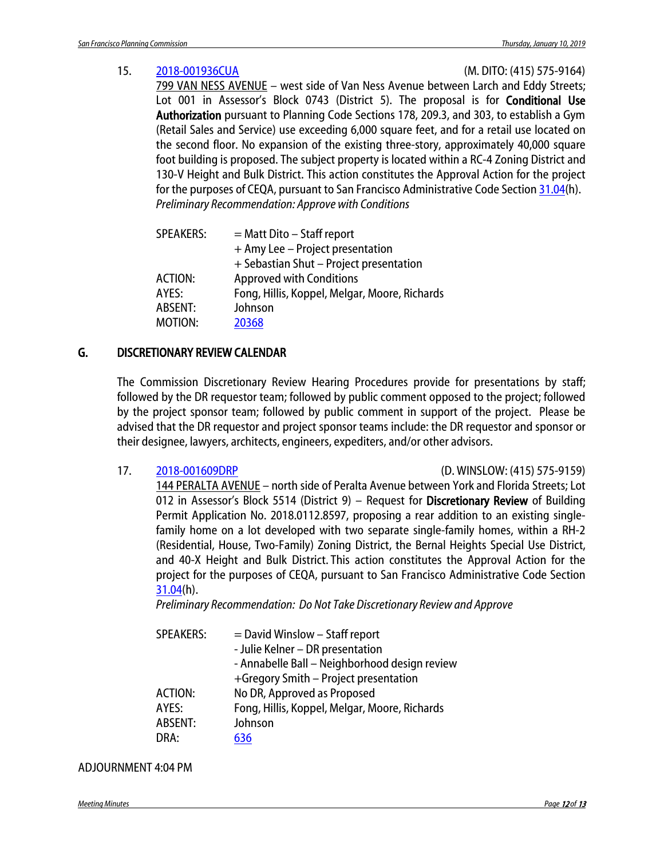#### 15. [2018-001936CUA](http://commissions.sfplanning.org/cpcpackets/2018-001936CUA.pdf) (M. DITO: (415) 575-9164)

799 VAN NESS AVENUE – west side of Van Ness Avenue between Larch and Eddy Streets; Lot 001 in Assessor's Block 0743 (District 5). The proposal is for **Conditional Use** Authorization pursuant to Planning Code Sections 178, 209.3, and 303, to establish a Gym (Retail Sales and Service) use exceeding 6,000 square feet, and for a retail use located on the second floor. No expansion of the existing three-story, approximately 40,000 square foot building is proposed. The subject property is located within a RC-4 Zoning District and 130-V Height and Bulk District. This action constitutes the Approval Action for the project for the purposes of CEQA, pursuant to San Francisco Administrative Code Sectio[n 31.04\(](http://library.amlegal.com/nxt/gateway.dll/California/administrative/chapter31californiaenvironmentalqualitya?f=templates$fn=default.htm$3.0$vid=amlegal:sanfrancisco_ca$anc=JD_31.04)h). *Preliminary Recommendation: Approve with Conditions*

| <b>SPEAKERS:</b> | $=$ Matt Dito – Staff report                  |
|------------------|-----------------------------------------------|
|                  | + Amy Lee - Project presentation              |
|                  | + Sebastian Shut - Project presentation       |
| <b>ACTION:</b>   | <b>Approved with Conditions</b>               |
| AYES:            | Fong, Hillis, Koppel, Melgar, Moore, Richards |
| ABSENT:          | Johnson                                       |
| MOTION:          | 20368                                         |
|                  |                                               |

### G. DISCRETIONARY REVIEW CALENDAR

The Commission Discretionary Review Hearing Procedures provide for presentations by staff; followed by the DR requestor team; followed by public comment opposed to the project; followed by the project sponsor team; followed by public comment in support of the project. Please be advised that the DR requestor and project sponsor teams include: the DR requestor and sponsor or their designee, lawyers, architects, engineers, expediters, and/or other advisors.

17. [2018-001609DRP](http://commissions.sfplanning.org/cpcpackets/2018-001609DRP.pdf) (D. WINSLOW: (415) 575-9159)

144 PERALTA AVENUE – north side of Peralta Avenue between York and Florida Streets; Lot 012 in Assessor's Block 5514 (District 9) – Request for Discretionary Review of Building Permit Application No. 2018.0112.8597, proposing a rear addition to an existing singlefamily home on a lot developed with two separate single-family homes, within a RH-2 (Residential, House, Two-Family) Zoning District, the Bernal Heights Special Use District, and 40-X Height and Bulk District. This action constitutes the Approval Action for the project for the purposes of CEQA, pursuant to San Francisco Administrative Code Section [31.04\(](http://library.amlegal.com/nxt/gateway.dll/California/administrative/chapter31californiaenvironmentalqualitya?f=templates$fn=default.htm$3.0$vid=amlegal:sanfrancisco_ca$anc=JD_31.04)h).

*Preliminary Recommendation: Do Not Take Discretionary Review and Approve*

| <b>SPEAKERS:</b> | $=$ David Winslow $-$ Staff report<br>- Julie Kelner - DR presentation<br>- Annabelle Ball - Neighborhood design review<br>+Gregory Smith - Project presentation |
|------------------|------------------------------------------------------------------------------------------------------------------------------------------------------------------|
| ACTION:          | No DR, Approved as Proposed                                                                                                                                      |
| AYES:            | Fong, Hillis, Koppel, Melgar, Moore, Richards                                                                                                                    |
| ABSENT:          | Johnson                                                                                                                                                          |
| DRA:             | 636                                                                                                                                                              |

#### ADJOURNMENT 4:04 PM